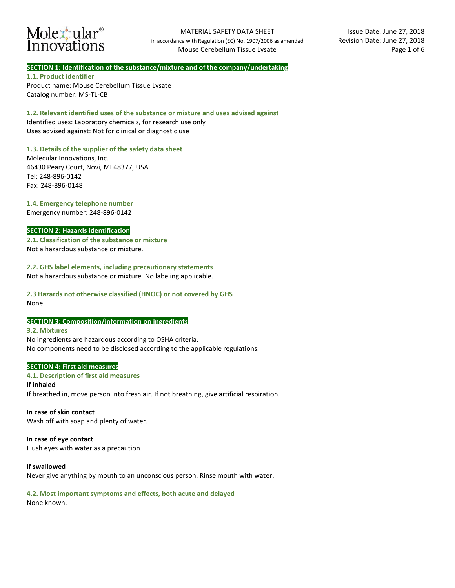

# **SECTION 1: Identification of the substance/mixture and of the company/undertaking**

**1.1. Product identifier**  Product name: Mouse Cerebellum Tissue Lysate Catalog number: MS-TL-CB

**1.2. Relevant identified uses of the substance or mixture and uses advised against** Identified uses: Laboratory chemicals, for research use only Uses advised against: Not for clinical or diagnostic use

# **1.3. Details of the supplier of the safety data sheet**

Molecular Innovations, Inc. 46430 Peary Court, Novi, MI 48377, USA Tel: 248-896-0142 Fax: 248-896-0148

# **1.4. Emergency telephone number**

Emergency number: 248-896-0142

### **SECTION 2: Hazards identification**

**2.1. Classification of the substance or mixture**  Not a hazardous substance or mixture.

**2.2. GHS label elements, including precautionary statements** Not a hazardous substance or mixture. No labeling applicable.

**2.3 Hazards not otherwise classified (HNOC) or not covered by GHS** None.

### **SECTION 3: Composition/information on ingredients**

**3.2. Mixtures** No ingredients are hazardous according to OSHA criteria. No components need to be disclosed according to the applicable regulations.

### **SECTION 4: First aid measures**

**4.1. Description of first aid measures If inhaled**  If breathed in, move person into fresh air. If not breathing, give artificial respiration.

### **In case of skin contact**

Wash off with soap and plenty of water.

### **In case of eye contact**

Flush eyes with water as a precaution.

### **If swallowed**

Never give anything by mouth to an unconscious person. Rinse mouth with water.

# **4.2. Most important symptoms and effects, both acute and delayed**

None known.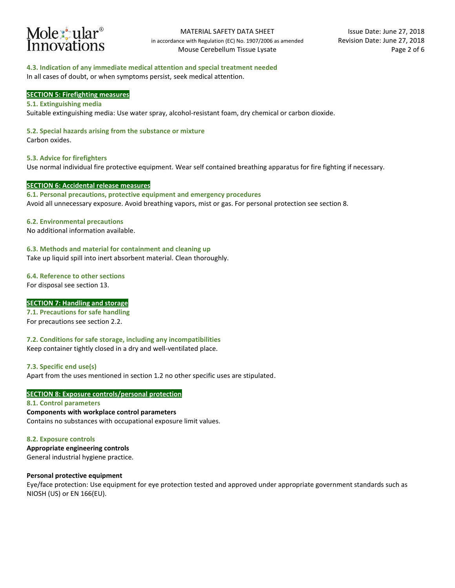

### **4.3. Indication of any immediate medical attention and special treatment needed**

In all cases of doubt, or when symptoms persist, seek medical attention.

### **SECTION 5: Firefighting measures**

#### **5.1. Extinguishing media**

Suitable extinguishing media: Use water spray, alcohol-resistant foam, dry chemical or carbon dioxide.

### **5.2. Special hazards arising from the substance or mixture**

Carbon oxides.

**5.3. Advice for firefighters**  Use normal individual fire protective equipment. Wear self contained breathing apparatus for fire fighting if necessary.

### **SECTION 6: Accidental release measures**

**6.1. Personal precautions, protective equipment and emergency procedures**  Avoid all unnecessary exposure. Avoid breathing vapors, mist or gas. For personal protection see section 8.

### **6.2. Environmental precautions**

No additional information available.

### **6.3. Methods and material for containment and cleaning up**

Take up liquid spill into inert absorbent material. Clean thoroughly.

### **6.4. Reference to other sections**

For disposal see section 13.

### **SECTION 7: Handling and storage**

**7.1. Precautions for safe handling**  For precautions see section 2.2.

**7.2. Conditions for safe storage, including any incompatibilities** 

Keep container tightly closed in a dry and well-ventilated place.

**7.3. Specific end use(s)**  Apart from the uses mentioned in section 1.2 no other specific uses are stipulated.

# **SECTION 8: Exposure controls/personal protection**

**8.1. Control parameters Components with workplace control parameters**  Contains no substances with occupational exposure limit values.

**8.2. Exposure controls** 

**Appropriate engineering controls** General industrial hygiene practice.

### **Personal protective equipment**

Eye/face protection: Use equipment for eye protection tested and approved under appropriate government standards such as NIOSH (US) or EN 166(EU).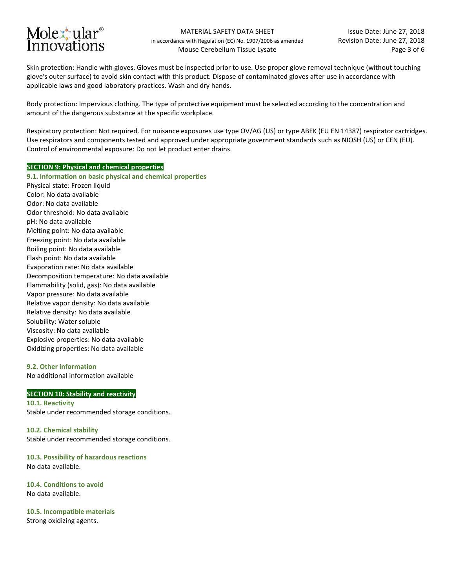# Molex ular<sup>®</sup> Innovations

Skin protection: Handle with gloves. Gloves must be inspected prior to use. Use proper glove removal technique (without touching glove's outer surface) to avoid skin contact with this product. Dispose of contaminated gloves after use in accordance with applicable laws and good laboratory practices. Wash and dry hands.

Body protection: Impervious clothing. The type of protective equipment must be selected according to the concentration and amount of the dangerous substance at the specific workplace.

Respiratory protection: Not required. For nuisance exposures use type OV/AG (US) or type ABEK (EU EN 14387) respirator cartridges. Use respirators and components tested and approved under appropriate government standards such as NIOSH (US) or CEN (EU). Control of environmental exposure: Do not let product enter drains.

# **SECTION 9: Physical and chemical properties**

**9.1. Information on basic physical and chemical properties**  Physical state: Frozen liquid Color: No data available Odor: No data available Odor threshold: No data available pH: No data available Melting point: No data available Freezing point: No data available Boiling point: No data available Flash point: No data available Evaporation rate: No data available Decomposition temperature: No data available Flammability (solid, gas): No data available Vapor pressure: No data available Relative vapor density: No data available Relative density: No data available Solubility: Water soluble Viscosity: No data available Explosive properties: No data available Oxidizing properties: No data available

### **9.2. Other information**

No additional information available

# **SECTION 10: Stability and reactivity**

**10.1. Reactivity**  Stable under recommended storage conditions.

**10.2. Chemical stability**  Stable under recommended storage conditions.

**10.3. Possibility of hazardous reactions**  No data available.

**10.4. Conditions to avoid**  No data available.

**10.5. Incompatible materials**  Strong oxidizing agents.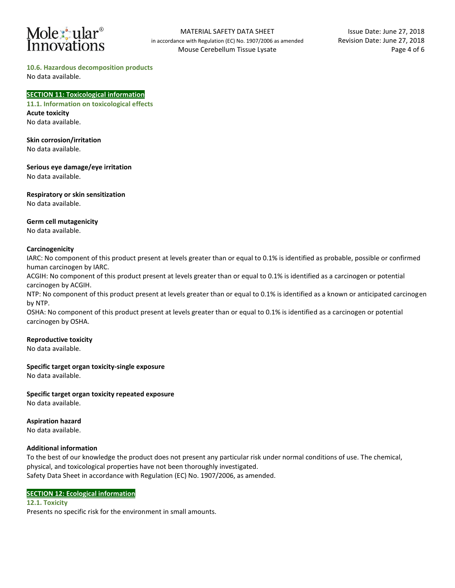# Molexiular<sup>®</sup> Innovations

# **10.6. Hazardous decomposition products**

No data available.

### **SECTION 11: Toxicological information**

**11.1. Information on toxicological effects Acute toxicity** No data available.

**Skin corrosion/irritation** 

No data available.

**Serious eye damage/eye irritation**  No data available.

**Respiratory or skin sensitization**  No data available.

### **Germ cell mutagenicity**

No data available.

# **Carcinogenicity**

IARC: No component of this product present at levels greater than or equal to 0.1% is identified as probable, possible or confirmed human carcinogen by IARC.

ACGIH: No component of this product present at levels greater than or equal to 0.1% is identified as a carcinogen or potential carcinogen by ACGIH.

NTP: No component of this product present at levels greater than or equal to 0.1% is identified as a known or anticipated carcinogen by NTP.

OSHA: No component of this product present at levels greater than or equal to 0.1% is identified as a carcinogen or potential carcinogen by OSHA.

# **Reproductive toxicity**

No data available.

**Specific target organ toxicity-single exposure** 

No data available.

# **Specific target organ toxicity repeated exposure**

No data available.

# **Aspiration hazard**

No data available.

# **Additional information**

To the best of our knowledge the product does not present any particular risk under normal conditions of use. The chemical, physical, and toxicological properties have not been thoroughly investigated. Safety Data Sheet in accordance with Regulation (EC) No. 1907/2006, as amended.

# **SECTION 12: Ecological information**

**12.1. Toxicity**  Presents no specific risk for the environment in small amounts.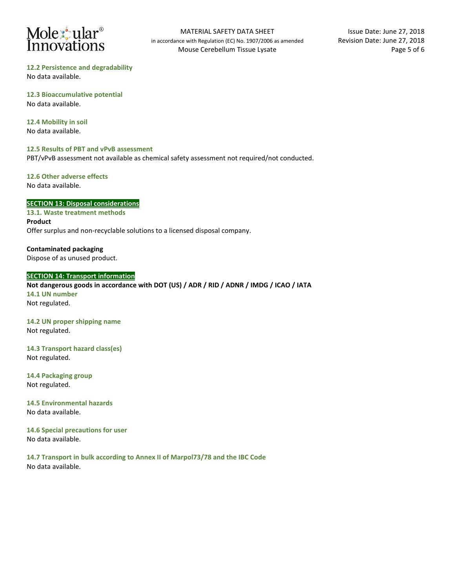# Molextular<sup>®</sup><br>Innovations

**12.2 Persistence and degradability**  No data available.

**12.3 Bioaccumulative potential**  No data available.

**12.4 Mobility in soil**  No data available.

# **12.5 Results of PBT and vPvB assessment**

PBT/vPvB assessment not available as chemical safety assessment not required/not conducted.

### **12.6 Other adverse effects**  No data available.

# **SECTION 13: Disposal considerations**

**13.1. Waste treatment methods Product**  Offer surplus and non-recyclable solutions to a licensed disposal company.

**Contaminated packaging**  Dispose of as unused product.

# **SECTION 14: Transport information**

**Not dangerous goods in accordance with DOT (US) / ADR / RID / ADNR / IMDG / ICAO / IATA 14.1 UN number** Not regulated.

**14.2 UN proper shipping name** Not regulated.

**14.3 Transport hazard class(es)** Not regulated.

**14.4 Packaging group** Not regulated.

**14.5 Environmental hazards** No data available.

**14.6 Special precautions for user** No data available.

**14.7 Transport in bulk according to Annex II of Marpol73/78 and the IBC Code** No data available.